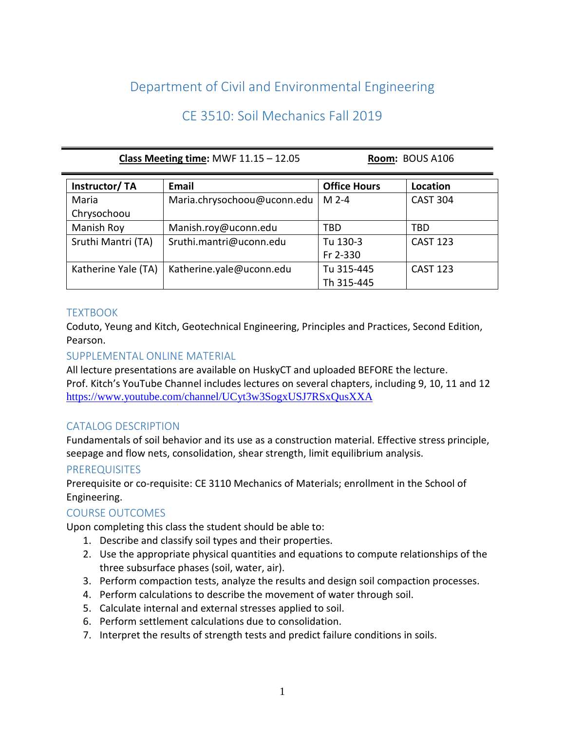# Department of Civil and Environmental Engineering

# CE 3510: Soil Mechanics Fall 2019

#### **Class Meeting time:** MWF 11.15 – 12.05 **Room:** BOUS A106

| Instructor/TA       | Email                       | <b>Office Hours</b> | Location        |
|---------------------|-----------------------------|---------------------|-----------------|
| Maria               | Maria.chrysochoou@uconn.edu | $M2-4$              | <b>CAST 304</b> |
| Chrysochoou         |                             |                     |                 |
| Manish Roy          | Manish.roy@uconn.edu        | TBD                 | TBD             |
| Sruthi Mantri (TA)  | Sruthi.mantri@uconn.edu     | Tu 130-3            | <b>CAST 123</b> |
|                     |                             | Fr 2-330            |                 |
| Katherine Yale (TA) | Katherine.yale@uconn.edu    | Tu 315-445          | <b>CAST 123</b> |
|                     |                             | Th 315-445          |                 |

## **TEXTBOOK**

Coduto, Yeung and Kitch, Geotechnical Engineering, Principles and Practices, Second Edition, Pearson.

## SUPPLEMENTAL ONLINE MATERIAL

All lecture presentations are available on HuskyCT and uploaded BEFORE the lecture. Prof. Kitch's YouTube Channel includes lectures on several chapters, including 9, 10, 11 and 12 <https://www.youtube.com/channel/UCyt3w3SogxUSJ7RSxQusXXA>

# CATALOG DESCRIPTION

Fundamentals of soil behavior and its use as a construction material. Effective stress principle, seepage and flow nets, consolidation, shear strength, limit equilibrium analysis.

## **PREREQUISITES**

Prerequisite or co-requisite: CE 3110 Mechanics of Materials; enrollment in the School of Engineering.

# COURSE OUTCOMES

Upon completing this class the student should be able to:

- 1. Describe and classify soil types and their properties.
- 2. Use the appropriate physical quantities and equations to compute relationships of the three subsurface phases (soil, water, air).
- 3. Perform compaction tests, analyze the results and design soil compaction processes.
- 4. Perform calculations to describe the movement of water through soil.
- 5. Calculate internal and external stresses applied to soil.
- 6. Perform settlement calculations due to consolidation.
- 7. Interpret the results of strength tests and predict failure conditions in soils.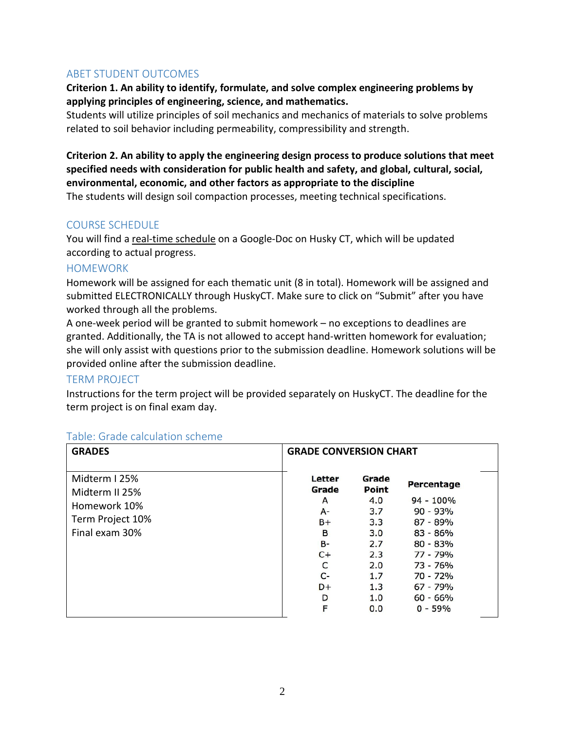## ABET STUDENT OUTCOMES

**Criterion 1. An ability to identify, formulate, and solve complex engineering problems by applying principles of engineering, science, and mathematics.**

Students will utilize principles of soil mechanics and mechanics of materials to solve problems related to soil behavior including permeability, compressibility and strength.

**Criterion 2. An ability to apply the engineering design process to produce solutions that meet specified needs with consideration for public health and safety, and global, cultural, social, environmental, economic, and other factors as appropriate to the discipline** The students will design soil compaction processes, meeting technical specifications.

#### COURSE SCHEDULE

You will find a real-time schedule on a Google-Doc on Husky CT, which will be updated according to actual progress.

#### **HOMEWORK**

Homework will be assigned for each thematic unit (8 in total). Homework will be assigned and submitted ELECTRONICALLY through HuskyCT. Make sure to click on "Submit" after you have worked through all the problems.

A one-week period will be granted to submit homework – no exceptions to deadlines are granted. Additionally, the TA is not allowed to accept hand-written homework for evaluation; she will only assist with questions prior to the submission deadline. Homework solutions will be provided online after the submission deadline.

## TERM PROJECT

Instructions for the term project will be provided separately on HuskyCT. The deadline for the term project is on final exam day.

| <b>GRADES</b>                                                                         | <b>GRADE CONVERSION CHART</b>                                                            |                                                                                             |                                                                                                                                                                        |
|---------------------------------------------------------------------------------------|------------------------------------------------------------------------------------------|---------------------------------------------------------------------------------------------|------------------------------------------------------------------------------------------------------------------------------------------------------------------------|
| Midterm I 25%<br>Midterm II 25%<br>Homework 10%<br>Term Project 10%<br>Final exam 30% | Letter<br>Grade<br>A<br>$A -$<br>B+<br>B<br><b>B-</b><br>$C+$<br>C<br>C-<br>D+<br>D<br>F | Grade<br>Point<br>4.0<br>3.7<br>3.3<br>3.0<br>2.7<br>2.3<br>2.0<br>1.7<br>1.3<br>1.0<br>0.0 | <b>Percentage</b><br>$94 - 100\%$<br>$90 - 93%$<br>$87 - 89%$<br>$83 - 86%$<br>$80 - 83%$<br>77 - 79%<br>73 - 76%<br>70 - 72%<br>$67 - 79%$<br>$60 - 66%$<br>$0 - 59%$ |

## Table: Grade calculation scheme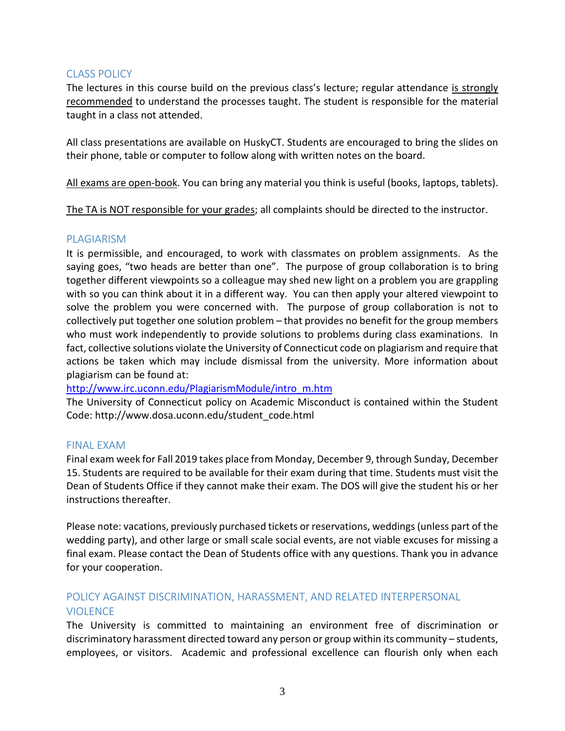## CLASS POLICY

The lectures in this course build on the previous class's lecture; regular attendance is strongly recommended to understand the processes taught. The student is responsible for the material taught in a class not attended.

All class presentations are available on HuskyCT. Students are encouraged to bring the slides on their phone, table or computer to follow along with written notes on the board.

All exams are open-book. You can bring any material you think is useful (books, laptops, tablets).

The TA is NOT responsible for your grades; all complaints should be directed to the instructor.

#### PLAGIARISM

It is permissible, and encouraged, to work with classmates on problem assignments. As the saying goes, "two heads are better than one". The purpose of group collaboration is to bring together different viewpoints so a colleague may shed new light on a problem you are grappling with so you can think about it in a different way. You can then apply your altered viewpoint to solve the problem you were concerned with. The purpose of group collaboration is not to collectively put together one solution problem – that provides no benefit for the group members who must work independently to provide solutions to problems during class examinations. In fact, collective solutions violate the University of Connecticut code on plagiarism and require that actions be taken which may include dismissal from the university. More information about plagiarism can be found at:

[http://www.irc.uconn.edu/PlagiarismModule/intro\\_m.htm](http://www.irc.uconn.edu/PlagiarismModule/intro_m.htm)

The University of Connecticut policy on Academic Misconduct is contained within the Student Code: http://www.dosa.uconn.edu/student\_code.html

#### FINAL EXAM

Final exam week for Fall 2019 takes place from Monday, December 9, through Sunday, December 15. Students are required to be available for their exam during that time. Students must visit the Dean of Students Office if they cannot make their exam. The DOS will give the student his or her instructions thereafter.

Please note: vacations, previously purchased tickets or reservations, weddings (unless part of the wedding party), and other large or small scale social events, are not viable excuses for missing a final exam. Please contact the Dean of Students office with any questions. Thank you in advance for your cooperation.

# POLICY AGAINST DISCRIMINATION, HARASSMENT, AND RELATED INTERPERSONAL **VIOLENCE**

The University is committed to maintaining an environment free of discrimination or discriminatory harassment directed toward any person or group within its community – students, employees, or visitors. Academic and professional excellence can flourish only when each